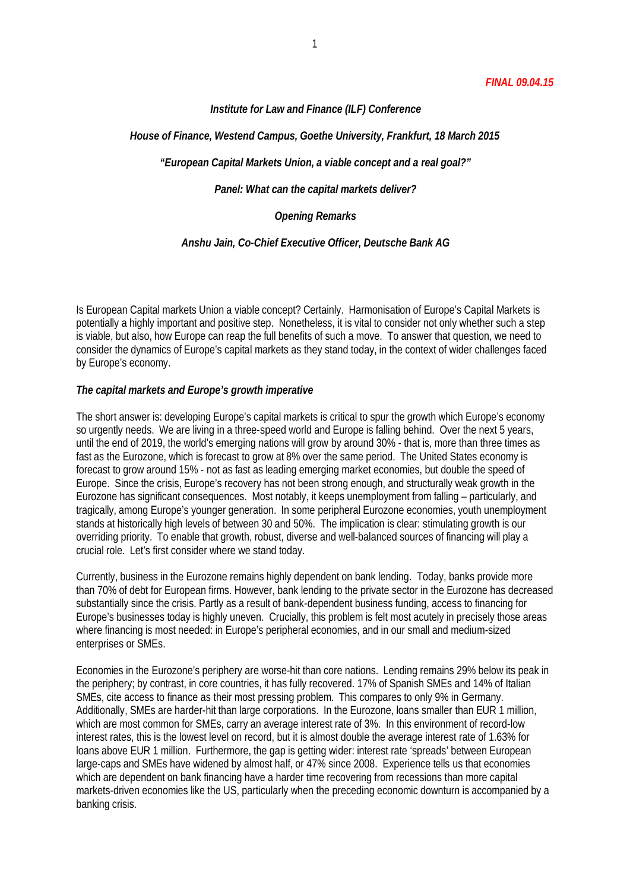## *Institute for Law and Finance (ILF) Conference*

### *House of Finance, Westend Campus, Goethe University, Frankfurt, 18 March 2015*

## *"European Capital Markets Union, a viable concept and a real goal?"*

# *Panel: What can the capital markets deliver?*

# *Opening Remarks*

# *Anshu Jain, Co-Chief Executive Officer, Deutsche Bank AG*

Is European Capital markets Union a viable concept? Certainly. Harmonisation of Europe's Capital Markets is potentially a highly important and positive step. Nonetheless, it is vital to consider not only whether such a step is viable, but also, how Europe can reap the full benefits of such a move. To answer that question, we need to consider the dynamics of Europe's capital markets as they stand today, in the context of wider challenges faced by Europe's economy.

### *The capital markets and Europe's growth imperative*

The short answer is: developing Europe's capital markets is critical to spur the growth which Europe's economy so urgently needs. We are living in a three-speed world and Europe is falling behind. Over the next 5 years, until the end of 2019, the world's emerging nations will grow by around 30% - that is, more than three times as fast as the Eurozone, which is forecast to grow at 8% over the same period. The United States economy is forecast to grow around 15% - not as fast as leading emerging market economies, but double the speed of Europe. Since the crisis, Europe's recovery has not been strong enough, and structurally weak growth in the Eurozone has significant consequences. Most notably, it keeps unemployment from falling – particularly, and tragically, among Europe's younger generation. In some peripheral Eurozone economies, youth unemployment stands at historically high levels of between 30 and 50%. The implication is clear: stimulating growth is our overriding priority. To enable that growth, robust, diverse and well-balanced sources of financing will play a crucial role. Let's first consider where we stand today.

Currently, business in the Eurozone remains highly dependent on bank lending. Today, banks provide more than 70% of debt for European firms. However, bank lending to the private sector in the Eurozone has decreased substantially since the crisis. Partly as a result of bank-dependent business funding, access to financing for Europe's businesses today is highly uneven. Crucially, this problem is felt most acutely in precisely those areas where financing is most needed: in Europe's peripheral economies, and in our small and medium-sized enterprises or SMEs.

Economies in the Eurozone's periphery are worse-hit than core nations. Lending remains 29% below its peak in the periphery; by contrast, in core countries, it has fully recovered. 17% of Spanish SMEs and 14% of Italian SMEs, cite access to finance as their most pressing problem. This compares to only 9% in Germany. Additionally, SMEs are harder-hit than large corporations. In the Eurozone, loans smaller than EUR 1 million, which are most common for SMEs, carry an average interest rate of 3%. In this environment of record-low interest rates, this is the lowest level on record, but it is almost double the average interest rate of 1.63% for loans above EUR 1 million. Furthermore, the gap is getting wider: interest rate 'spreads' between European large-caps and SMEs have widened by almost half, or 47% since 2008. Experience tells us that economies which are dependent on bank financing have a harder time recovering from recessions than more capital markets-driven economies like the US, particularly when the preceding economic downturn is accompanied by a banking crisis.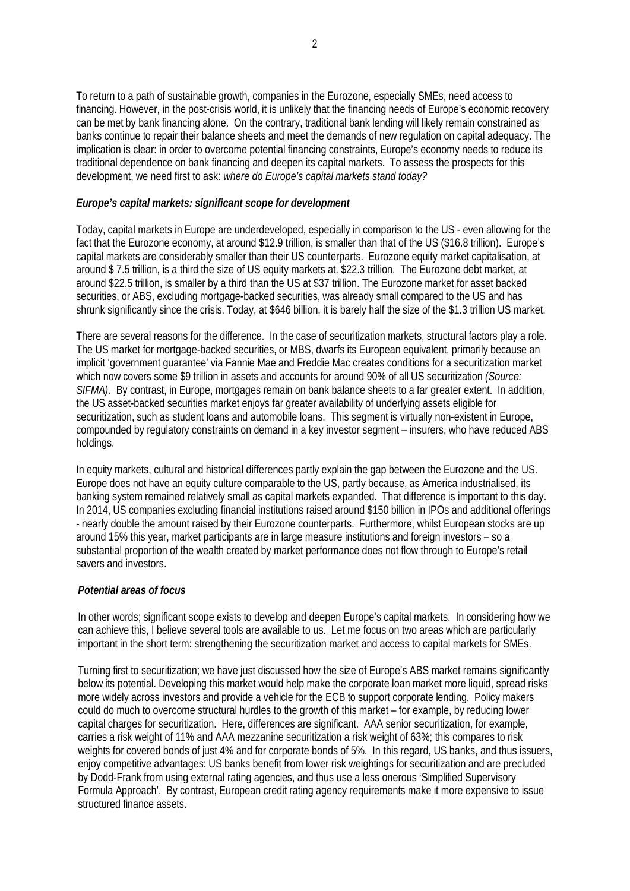To return to a path of sustainable growth, companies in the Eurozone, especially SMEs, need access to financing. However, in the post-crisis world, it is unlikely that the financing needs of Europe's economic recovery can be met by bank financing alone. On the contrary, traditional bank lending will likely remain constrained as banks continue to repair their balance sheets and meet the demands of new regulation on capital adequacy. The implication is clear: in order to overcome potential financing constraints, Europe's economy needs to reduce its traditional dependence on bank financing and deepen its capital markets. To assess the prospects for this development, we need first to ask: *where do Europe's capital markets stand today?*

#### *Europe's capital markets: significant scope for development*

Today, capital markets in Europe are underdeveloped, especially in comparison to the US - even allowing for the fact that the Eurozone economy, at around \$12.9 trillion, is smaller than that of the US (\$16.8 trillion). Europe's capital markets are considerably smaller than their US counterparts. Eurozone equity market capitalisation, at around \$ 7.5 trillion, is a third the size of US equity markets at. \$22.3 trillion. The Eurozone debt market, at around \$22.5 trillion, is smaller by a third than the US at \$37 trillion. The Eurozone market for asset backed securities, or ABS, excluding mortgage-backed securities, was already small compared to the US and has shrunk significantly since the crisis. Today, at \$646 billion, it is barely half the size of the \$1.3 trillion US market.

There are several reasons for the difference. In the case of securitization markets, structural factors play a role. The US market for mortgage-backed securities, or MBS, dwarfs its European equivalent, primarily because an implicit 'government guarantee' via Fannie Mae and Freddie Mac creates conditions for a securitization market which now covers some \$9 trillion in assets and accounts for around 90% of all US securitization *(Source: SIFMA).* By contrast, in Europe, mortgages remain on bank balance sheets to a far greater extent. In addition, the US asset-backed securities market enjoys far greater availability of underlying assets eligible for securitization, such as student loans and automobile loans. This segment is virtually non-existent in Europe, compounded by regulatory constraints on demand in a key investor segment – insurers, who have reduced ABS holdings.

In equity markets, cultural and historical differences partly explain the gap between the Eurozone and the US. Europe does not have an equity culture comparable to the US, partly because, as America industrialised, its banking system remained relatively small as capital markets expanded. That difference is important to this day. In 2014, US companies excluding financial institutions raised around \$150 billion in IPOs and additional offerings - nearly double the amount raised by their Eurozone counterparts. Furthermore, whilst European stocks are up around 15% this year, market participants are in large measure institutions and foreign investors – so a substantial proportion of the wealth created by market performance does not flow through to Europe's retail savers and investors.

#### *Potential areas of focus*

In other words; significant scope exists to develop and deepen Europe's capital markets. In considering how we can achieve this, I believe several tools are available to us. Let me focus on two areas which are particularly important in the short term: strengthening the securitization market and access to capital markets for SMEs.

Turning first to securitization; we have just discussed how the size of Europe's ABS market remains significantly below its potential. Developing this market would help make the corporate loan market more liquid, spread risks more widely across investors and provide a vehicle for the ECB to support corporate lending. Policy makers could do much to overcome structural hurdles to the growth of this market – for example, by reducing lower capital charges for securitization. Here, differences are significant. AAA senior securitization, for example, carries a risk weight of 11% and AAA mezzanine securitization a risk weight of 63%; this compares to risk weights for covered bonds of just 4% and for corporate bonds of 5%. In this regard, US banks, and thus issuers, enjoy competitive advantages: US banks benefit from lower risk weightings for securitization and are precluded by Dodd-Frank from using external rating agencies, and thus use a less onerous 'Simplified Supervisory Formula Approach'. By contrast, European credit rating agency requirements make it more expensive to issue structured finance assets.